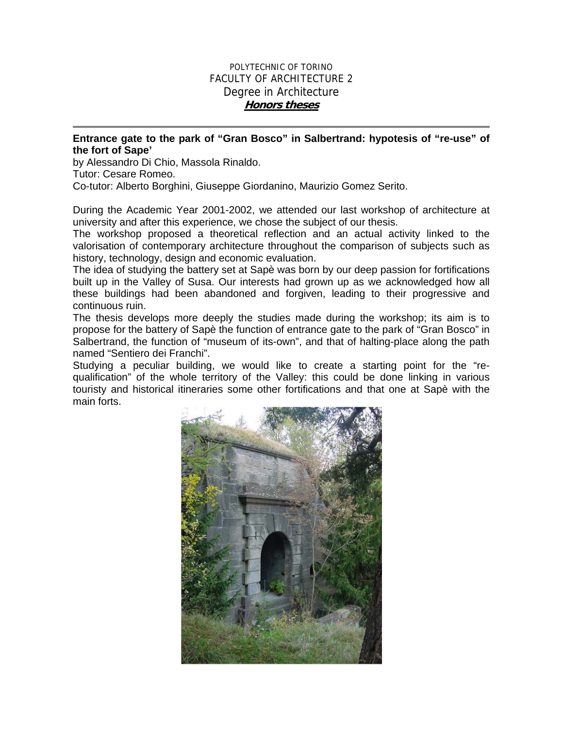## POLYTECHNIC OF TORINO FACULTY OF ARCHITECTURE 2 Degree in Architecture **Honors theses**

## **Entrance gate to the park of "Gran Bosco" in Salbertrand: hypotesis of "re-use" of the fort of Sape'**

by Alessandro Di Chio, Massola Rinaldo.

Tutor: Cesare Romeo.

Co-tutor: Alberto Borghini, Giuseppe Giordanino, Maurizio Gomez Serito.

During the Academic Year 2001-2002, we attended our last workshop of architecture at university and after this experience, we chose the subject of our thesis.

The workshop proposed a theoretical reflection and an actual activity linked to the valorisation of contemporary architecture throughout the comparison of subjects such as history, technology, design and economic evaluation.

The idea of studying the battery set at Sapè was born by our deep passion for fortifications built up in the Valley of Susa. Our interests had grown up as we acknowledged how all these buildings had been abandoned and forgiven, leading to their progressive and continuous ruin.

The thesis develops more deeply the studies made during the workshop; its aim is to propose for the battery of Sapè the function of entrance gate to the park of "Gran Bosco" in Salbertrand, the function of "museum of its-own", and that of halting-place along the path named "Sentiero dei Franchi".

Studying a peculiar building, we would like to create a starting point for the "requalification" of the whole territory of the Valley: this could be done linking in various touristy and historical itineraries some other fortifications and that one at Sapè with the main forts.

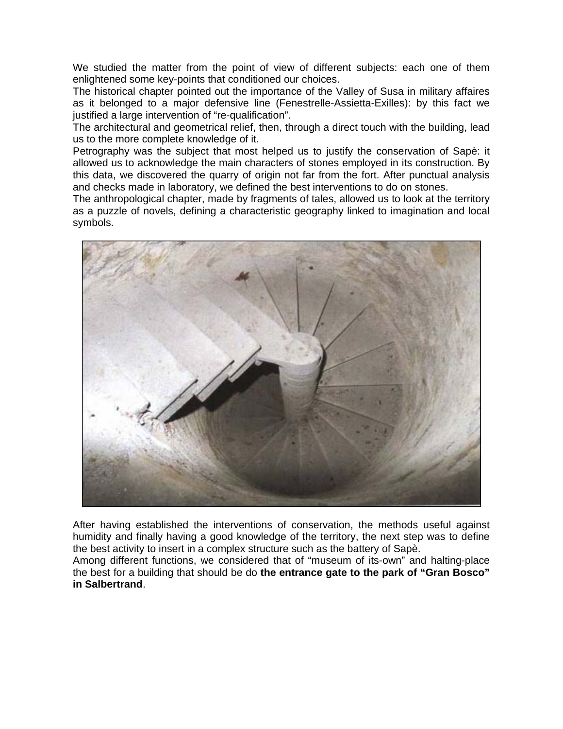We studied the matter from the point of view of different subjects: each one of them enlightened some key-points that conditioned our choices.

The historical chapter pointed out the importance of the Valley of Susa in military affaires as it belonged to a major defensive line (Fenestrelle-Assietta-Exilles): by this fact we justified a large intervention of "re-qualification".

The architectural and geometrical relief, then, through a direct touch with the building, lead us to the more complete knowledge of it.

Petrography was the subject that most helped us to justify the conservation of Sapè: it allowed us to acknowledge the main characters of stones employed in its construction. By this data, we discovered the quarry of origin not far from the fort. After punctual analysis and checks made in laboratory, we defined the best interventions to do on stones.

The anthropological chapter, made by fragments of tales, allowed us to look at the territory as a puzzle of novels, defining a characteristic geography linked to imagination and local symbols.



After having established the interventions of conservation, the methods useful against humidity and finally having a good knowledge of the territory, the next step was to define the best activity to insert in a complex structure such as the battery of Sapè.

Among different functions, we considered that of "museum of its-own" and halting-place the best for a building that should be do **the entrance gate to the park of "Gran Bosco" in Salbertrand**.